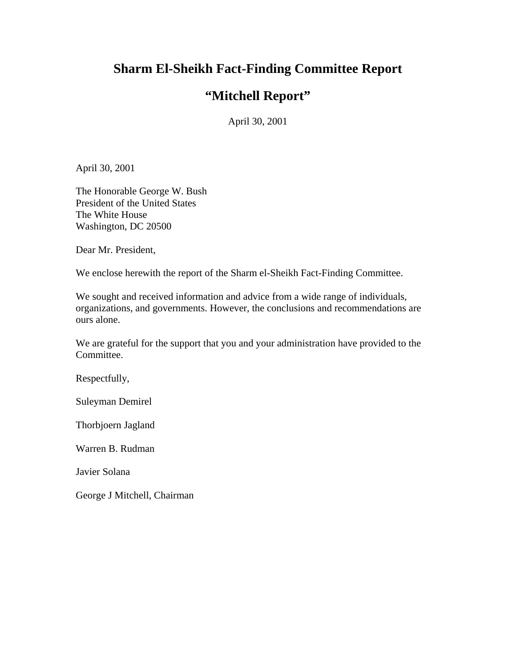# **Sharm El-Sheikh Fact-Finding Committee Report**

# **"Mitchell Report"**

April 30, 2001

April 30, 2001

The Honorable George W. Bush President of the United States The White House Washington, DC 20500

Dear Mr. President,

We enclose herewith the report of the Sharm el-Sheikh Fact-Finding Committee.

We sought and received information and advice from a wide range of individuals, organizations, and governments. However, the conclusions and recommendations are ours alone.

We are grateful for the support that you and your administration have provided to the Committee.

Respectfully,

Suleyman Demirel

Thorbjoern Jagland

Warren B. Rudman

Javier Solana

George J Mitchell, Chairman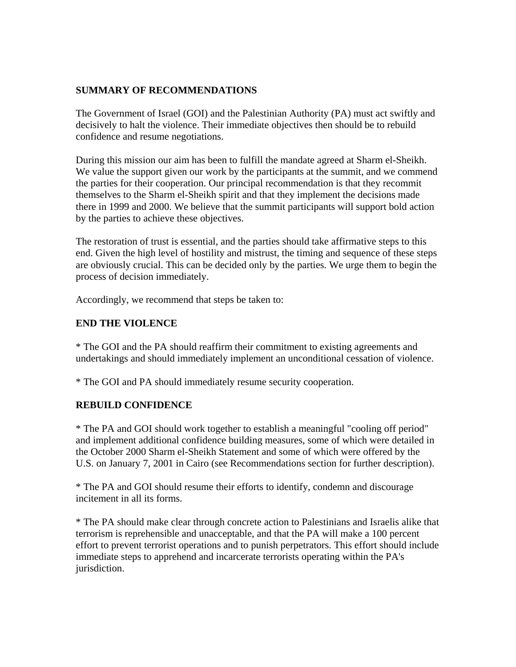## **SUMMARY OF RECOMMENDATIONS**

The Government of Israel (GOI) and the Palestinian Authority (PA) must act swiftly and decisively to halt the violence. Their immediate objectives then should be to rebuild confidence and resume negotiations.

During this mission our aim has been to fulfill the mandate agreed at Sharm el-Sheikh. We value the support given our work by the participants at the summit, and we commend the parties for their cooperation. Our principal recommendation is that they recommit themselves to the Sharm el-Sheikh spirit and that they implement the decisions made there in 1999 and 2000. We believe that the summit participants will support bold action by the parties to achieve these objectives.

The restoration of trust is essential, and the parties should take affirmative steps to this end. Given the high level of hostility and mistrust, the timing and sequence of these steps are obviously crucial. This can be decided only by the parties. We urge them to begin the process of decision immediately.

Accordingly, we recommend that steps be taken to:

#### **END THE VIOLENCE**

\* The GOI and the PA should reaffirm their commitment to existing agreements and undertakings and should immediately implement an unconditional cessation of violence.

\* The GOI and PA should immediately resume security cooperation.

#### **REBUILD CONFIDENCE**

\* The PA and GOI should work together to establish a meaningful "cooling off period" and implement additional confidence building measures, some of which were detailed in the October 2000 Sharm el-Sheikh Statement and some of which were offered by the U.S. on January 7, 2001 in Cairo (see Recommendations section for further description).

\* The PA and GOI should resume their efforts to identify, condemn and discourage incitement in all its forms.

\* The PA should make clear through concrete action to Palestinians and Israelis alike that terrorism is reprehensible and unacceptable, and that the PA will make a 100 percent effort to prevent terrorist operations and to punish perpetrators. This effort should include immediate steps to apprehend and incarcerate terrorists operating within the PA's jurisdiction.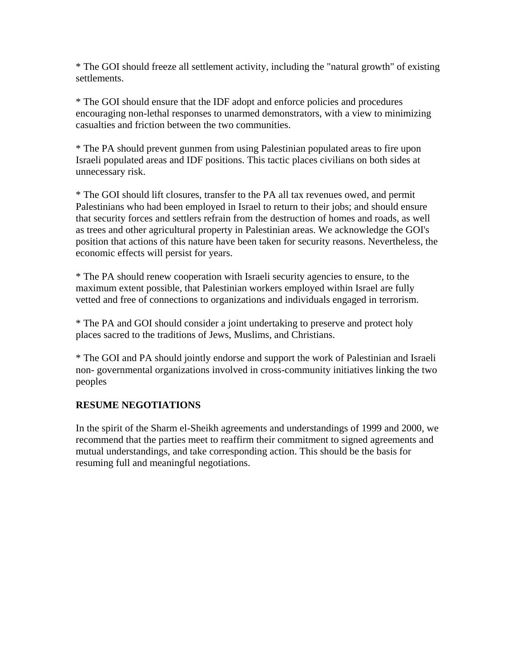\* The GOI should freeze all settlement activity, including the "natural growth" of existing settlements.

\* The GOI should ensure that the IDF adopt and enforce policies and procedures encouraging non-lethal responses to unarmed demonstrators, with a view to minimizing casualties and friction between the two communities.

\* The PA should prevent gunmen from using Palestinian populated areas to fire upon Israeli populated areas and IDF positions. This tactic places civilians on both sides at unnecessary risk.

\* The GOI should lift closures, transfer to the PA all tax revenues owed, and permit Palestinians who had been employed in Israel to return to their jobs; and should ensure that security forces and settlers refrain from the destruction of homes and roads, as well as trees and other agricultural property in Palestinian areas. We acknowledge the GOI's position that actions of this nature have been taken for security reasons. Nevertheless, the economic effects will persist for years.

\* The PA should renew cooperation with Israeli security agencies to ensure, to the maximum extent possible, that Palestinian workers employed within Israel are fully vetted and free of connections to organizations and individuals engaged in terrorism.

\* The PA and GOI should consider a joint undertaking to preserve and protect holy places sacred to the traditions of Jews, Muslims, and Christians.

\* The GOI and PA should jointly endorse and support the work of Palestinian and Israeli non- governmental organizations involved in cross-community initiatives linking the two peoples

# **RESUME NEGOTIATIONS**

In the spirit of the Sharm el-Sheikh agreements and understandings of 1999 and 2000, we recommend that the parties meet to reaffirm their commitment to signed agreements and mutual understandings, and take corresponding action. This should be the basis for resuming full and meaningful negotiations.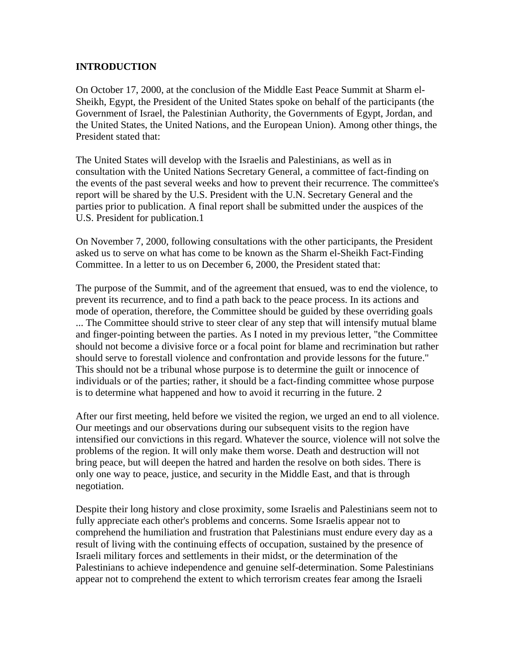## **INTRODUCTION**

On October 17, 2000, at the conclusion of the Middle East Peace Summit at Sharm el-Sheikh, Egypt, the President of the United States spoke on behalf of the participants (the Government of Israel, the Palestinian Authority, the Governments of Egypt, Jordan, and the United States, the United Nations, and the European Union). Among other things, the President stated that:

The United States will develop with the Israelis and Palestinians, as well as in consultation with the United Nations Secretary General, a committee of fact-finding on the events of the past several weeks and how to prevent their recurrence. The committee's report will be shared by the U.S. President with the U.N. Secretary General and the parties prior to publication. A final report shall be submitted under the auspices of the U.S. President for publication.1

On November 7, 2000, following consultations with the other participants, the President asked us to serve on what has come to be known as the Sharm el-Sheikh Fact-Finding Committee. In a letter to us on December 6, 2000, the President stated that:

The purpose of the Summit, and of the agreement that ensued, was to end the violence, to prevent its recurrence, and to find a path back to the peace process. In its actions and mode of operation, therefore, the Committee should be guided by these overriding goals ... The Committee should strive to steer clear of any step that will intensify mutual blame and finger-pointing between the parties. As I noted in my previous letter, "the Committee should not become a divisive force or a focal point for blame and recrimination but rather should serve to forestall violence and confrontation and provide lessons for the future." This should not be a tribunal whose purpose is to determine the guilt or innocence of individuals or of the parties; rather, it should be a fact-finding committee whose purpose is to determine what happened and how to avoid it recurring in the future. 2

After our first meeting, held before we visited the region, we urged an end to all violence. Our meetings and our observations during our subsequent visits to the region have intensified our convictions in this regard. Whatever the source, violence will not solve the problems of the region. It will only make them worse. Death and destruction will not bring peace, but will deepen the hatred and harden the resolve on both sides. There is only one way to peace, justice, and security in the Middle East, and that is through negotiation.

Despite their long history and close proximity, some Israelis and Palestinians seem not to fully appreciate each other's problems and concerns. Some Israelis appear not to comprehend the humiliation and frustration that Palestinians must endure every day as a result of living with the continuing effects of occupation, sustained by the presence of Israeli military forces and settlements in their midst, or the determination of the Palestinians to achieve independence and genuine self-determination. Some Palestinians appear not to comprehend the extent to which terrorism creates fear among the Israeli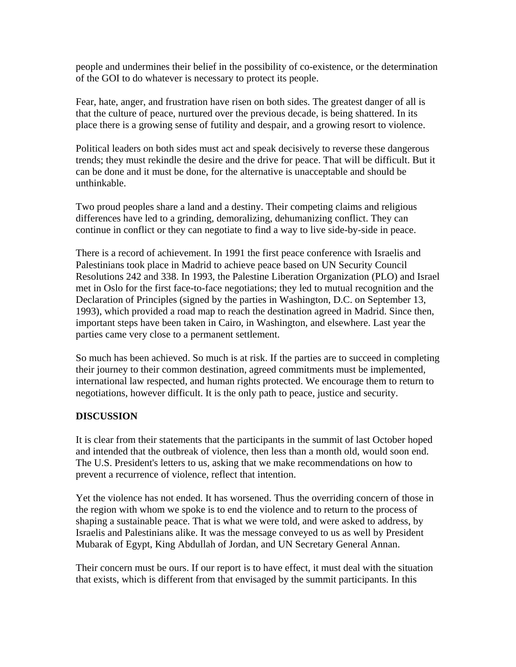people and undermines their belief in the possibility of co-existence, or the determination of the GOI to do whatever is necessary to protect its people.

Fear, hate, anger, and frustration have risen on both sides. The greatest danger of all is that the culture of peace, nurtured over the previous decade, is being shattered. In its place there is a growing sense of futility and despair, and a growing resort to violence.

Political leaders on both sides must act and speak decisively to reverse these dangerous trends; they must rekindle the desire and the drive for peace. That will be difficult. But it can be done and it must be done, for the alternative is unacceptable and should be unthinkable.

Two proud peoples share a land and a destiny. Their competing claims and religious differences have led to a grinding, demoralizing, dehumanizing conflict. They can continue in conflict or they can negotiate to find a way to live side-by-side in peace.

There is a record of achievement. In 1991 the first peace conference with Israelis and Palestinians took place in Madrid to achieve peace based on UN Security Council Resolutions 242 and 338. In 1993, the Palestine Liberation Organization (PLO) and Israel met in Oslo for the first face-to-face negotiations; they led to mutual recognition and the Declaration of Principles (signed by the parties in Washington, D.C. on September 13, 1993), which provided a road map to reach the destination agreed in Madrid. Since then, important steps have been taken in Cairo, in Washington, and elsewhere. Last year the parties came very close to a permanent settlement.

So much has been achieved. So much is at risk. If the parties are to succeed in completing their journey to their common destination, agreed commitments must be implemented, international law respected, and human rights protected. We encourage them to return to negotiations, however difficult. It is the only path to peace, justice and security.

# **DISCUSSION**

It is clear from their statements that the participants in the summit of last October hoped and intended that the outbreak of violence, then less than a month old, would soon end. The U.S. President's letters to us, asking that we make recommendations on how to prevent a recurrence of violence, reflect that intention.

Yet the violence has not ended. It has worsened. Thus the overriding concern of those in the region with whom we spoke is to end the violence and to return to the process of shaping a sustainable peace. That is what we were told, and were asked to address, by Israelis and Palestinians alike. It was the message conveyed to us as well by President Mubarak of Egypt, King Abdullah of Jordan, and UN Secretary General Annan.

Their concern must be ours. If our report is to have effect, it must deal with the situation that exists, which is different from that envisaged by the summit participants. In this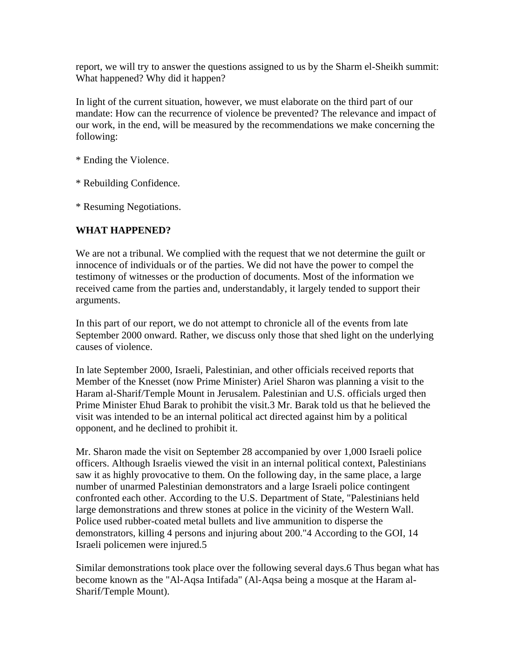report, we will try to answer the questions assigned to us by the Sharm el-Sheikh summit: What happened? Why did it happen?

In light of the current situation, however, we must elaborate on the third part of our mandate: How can the recurrence of violence be prevented? The relevance and impact of our work, in the end, will be measured by the recommendations we make concerning the following:

- \* Ending the Violence.
- \* Rebuilding Confidence.
- \* Resuming Negotiations.

# **WHAT HAPPENED?**

We are not a tribunal. We complied with the request that we not determine the guilt or innocence of individuals or of the parties. We did not have the power to compel the testimony of witnesses or the production of documents. Most of the information we received came from the parties and, understandably, it largely tended to support their arguments.

In this part of our report, we do not attempt to chronicle all of the events from late September 2000 onward. Rather, we discuss only those that shed light on the underlying causes of violence.

In late September 2000, Israeli, Palestinian, and other officials received reports that Member of the Knesset (now Prime Minister) Ariel Sharon was planning a visit to the Haram al-Sharif/Temple Mount in Jerusalem. Palestinian and U.S. officials urged then Prime Minister Ehud Barak to prohibit the visit.3 Mr. Barak told us that he believed the visit was intended to be an internal political act directed against him by a political opponent, and he declined to prohibit it.

Mr. Sharon made the visit on September 28 accompanied by over 1,000 Israeli police officers. Although Israelis viewed the visit in an internal political context, Palestinians saw it as highly provocative to them. On the following day, in the same place, a large number of unarmed Palestinian demonstrators and a large Israeli police contingent confronted each other. According to the U.S. Department of State, "Palestinians held large demonstrations and threw stones at police in the vicinity of the Western Wall. Police used rubber-coated metal bullets and live ammunition to disperse the demonstrators, killing 4 persons and injuring about 200."4 According to the GOI, 14 Israeli policemen were injured.5

Similar demonstrations took place over the following several days.6 Thus began what has become known as the "Al-Aqsa Intifada" (Al-Aqsa being a mosque at the Haram al-Sharif/Temple Mount).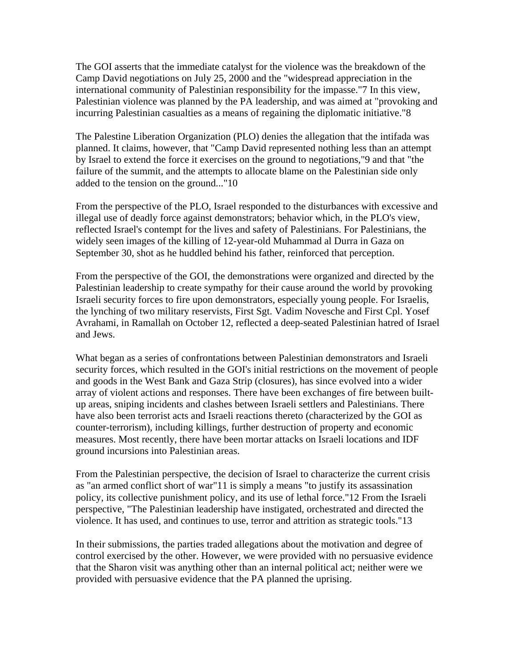The GOI asserts that the immediate catalyst for the violence was the breakdown of the Camp David negotiations on July 25, 2000 and the "widespread appreciation in the international community of Palestinian responsibility for the impasse."7 In this view, Palestinian violence was planned by the PA leadership, and was aimed at "provoking and incurring Palestinian casualties as a means of regaining the diplomatic initiative."8

The Palestine Liberation Organization (PLO) denies the allegation that the intifada was planned. It claims, however, that "Camp David represented nothing less than an attempt by Israel to extend the force it exercises on the ground to negotiations,"9 and that "the failure of the summit, and the attempts to allocate blame on the Palestinian side only added to the tension on the ground..."10

From the perspective of the PLO, Israel responded to the disturbances with excessive and illegal use of deadly force against demonstrators; behavior which, in the PLO's view, reflected Israel's contempt for the lives and safety of Palestinians. For Palestinians, the widely seen images of the killing of 12-year-old Muhammad al Durra in Gaza on September 30, shot as he huddled behind his father, reinforced that perception.

From the perspective of the GOI, the demonstrations were organized and directed by the Palestinian leadership to create sympathy for their cause around the world by provoking Israeli security forces to fire upon demonstrators, especially young people. For Israelis, the lynching of two military reservists, First Sgt. Vadim Novesche and First Cpl. Yosef Avrahami, in Ramallah on October 12, reflected a deep-seated Palestinian hatred of Israel and Jews.

What began as a series of confrontations between Palestinian demonstrators and Israeli security forces, which resulted in the GOI's initial restrictions on the movement of people and goods in the West Bank and Gaza Strip (closures), has since evolved into a wider array of violent actions and responses. There have been exchanges of fire between builtup areas, sniping incidents and clashes between Israeli settlers and Palestinians. There have also been terrorist acts and Israeli reactions thereto (characterized by the GOI as counter-terrorism), including killings, further destruction of property and economic measures. Most recently, there have been mortar attacks on Israeli locations and IDF ground incursions into Palestinian areas.

From the Palestinian perspective, the decision of Israel to characterize the current crisis as "an armed conflict short of war"11 is simply a means "to justify its assassination policy, its collective punishment policy, and its use of lethal force."12 From the Israeli perspective, "The Palestinian leadership have instigated, orchestrated and directed the violence. It has used, and continues to use, terror and attrition as strategic tools."13

In their submissions, the parties traded allegations about the motivation and degree of control exercised by the other. However, we were provided with no persuasive evidence that the Sharon visit was anything other than an internal political act; neither were we provided with persuasive evidence that the PA planned the uprising.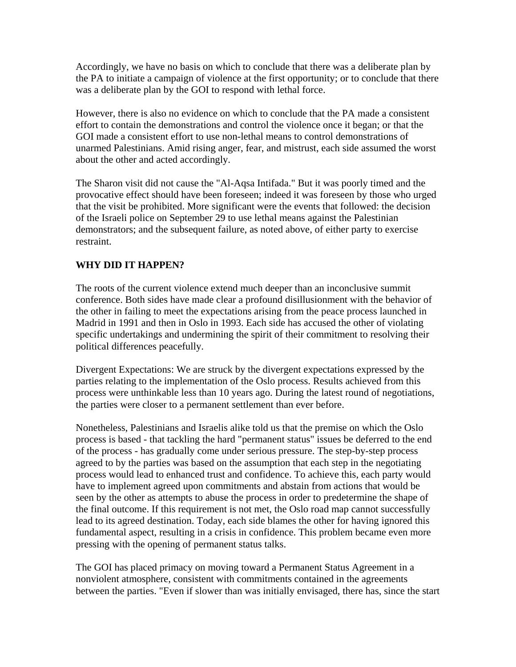Accordingly, we have no basis on which to conclude that there was a deliberate plan by the PA to initiate a campaign of violence at the first opportunity; or to conclude that there was a deliberate plan by the GOI to respond with lethal force.

However, there is also no evidence on which to conclude that the PA made a consistent effort to contain the demonstrations and control the violence once it began; or that the GOI made a consistent effort to use non-lethal means to control demonstrations of unarmed Palestinians. Amid rising anger, fear, and mistrust, each side assumed the worst about the other and acted accordingly.

The Sharon visit did not cause the "Al-Aqsa Intifada." But it was poorly timed and the provocative effect should have been foreseen; indeed it was foreseen by those who urged that the visit be prohibited. More significant were the events that followed: the decision of the Israeli police on September 29 to use lethal means against the Palestinian demonstrators; and the subsequent failure, as noted above, of either party to exercise restraint.

# **WHY DID IT HAPPEN?**

The roots of the current violence extend much deeper than an inconclusive summit conference. Both sides have made clear a profound disillusionment with the behavior of the other in failing to meet the expectations arising from the peace process launched in Madrid in 1991 and then in Oslo in 1993. Each side has accused the other of violating specific undertakings and undermining the spirit of their commitment to resolving their political differences peacefully.

Divergent Expectations: We are struck by the divergent expectations expressed by the parties relating to the implementation of the Oslo process. Results achieved from this process were unthinkable less than 10 years ago. During the latest round of negotiations, the parties were closer to a permanent settlement than ever before.

Nonetheless, Palestinians and Israelis alike told us that the premise on which the Oslo process is based - that tackling the hard "permanent status" issues be deferred to the end of the process - has gradually come under serious pressure. The step-by-step process agreed to by the parties was based on the assumption that each step in the negotiating process would lead to enhanced trust and confidence. To achieve this, each party would have to implement agreed upon commitments and abstain from actions that would be seen by the other as attempts to abuse the process in order to predetermine the shape of the final outcome. If this requirement is not met, the Oslo road map cannot successfully lead to its agreed destination. Today, each side blames the other for having ignored this fundamental aspect, resulting in a crisis in confidence. This problem became even more pressing with the opening of permanent status talks.

The GOI has placed primacy on moving toward a Permanent Status Agreement in a nonviolent atmosphere, consistent with commitments contained in the agreements between the parties. "Even if slower than was initially envisaged, there has, since the start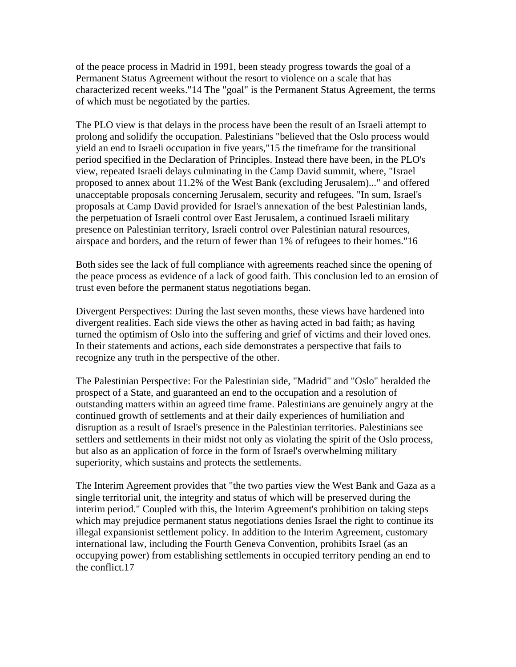of the peace process in Madrid in 1991, been steady progress towards the goal of a Permanent Status Agreement without the resort to violence on a scale that has characterized recent weeks."14 The "goal" is the Permanent Status Agreement, the terms of which must be negotiated by the parties.

The PLO view is that delays in the process have been the result of an Israeli attempt to prolong and solidify the occupation. Palestinians "believed that the Oslo process would yield an end to Israeli occupation in five years,"15 the timeframe for the transitional period specified in the Declaration of Principles. Instead there have been, in the PLO's view, repeated Israeli delays culminating in the Camp David summit, where, "Israel proposed to annex about 11.2% of the West Bank (excluding Jerusalem)..." and offered unacceptable proposals concerning Jerusalem, security and refugees. "In sum, Israel's proposals at Camp David provided for Israel's annexation of the best Palestinian lands, the perpetuation of Israeli control over East Jerusalem, a continued Israeli military presence on Palestinian territory, Israeli control over Palestinian natural resources, airspace and borders, and the return of fewer than 1% of refugees to their homes."16

Both sides see the lack of full compliance with agreements reached since the opening of the peace process as evidence of a lack of good faith. This conclusion led to an erosion of trust even before the permanent status negotiations began.

Divergent Perspectives: During the last seven months, these views have hardened into divergent realities. Each side views the other as having acted in bad faith; as having turned the optimism of Oslo into the suffering and grief of victims and their loved ones. In their statements and actions, each side demonstrates a perspective that fails to recognize any truth in the perspective of the other.

The Palestinian Perspective: For the Palestinian side, "Madrid" and "Oslo" heralded the prospect of a State, and guaranteed an end to the occupation and a resolution of outstanding matters within an agreed time frame. Palestinians are genuinely angry at the continued growth of settlements and at their daily experiences of humiliation and disruption as a result of Israel's presence in the Palestinian territories. Palestinians see settlers and settlements in their midst not only as violating the spirit of the Oslo process, but also as an application of force in the form of Israel's overwhelming military superiority, which sustains and protects the settlements.

The Interim Agreement provides that "the two parties view the West Bank and Gaza as a single territorial unit, the integrity and status of which will be preserved during the interim period." Coupled with this, the Interim Agreement's prohibition on taking steps which may prejudice permanent status negotiations denies Israel the right to continue its illegal expansionist settlement policy. In addition to the Interim Agreement, customary international law, including the Fourth Geneva Convention, prohibits Israel (as an occupying power) from establishing settlements in occupied territory pending an end to the conflict.17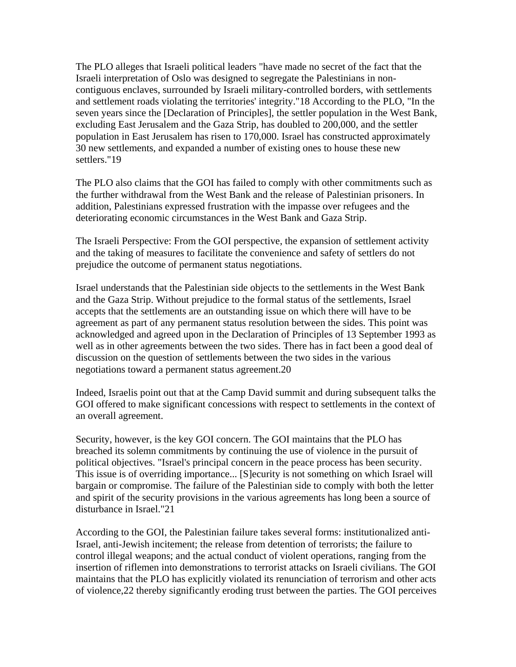The PLO alleges that Israeli political leaders "have made no secret of the fact that the Israeli interpretation of Oslo was designed to segregate the Palestinians in noncontiguous enclaves, surrounded by Israeli military-controlled borders, with settlements and settlement roads violating the territories' integrity."18 According to the PLO, "In the seven years since the [Declaration of Principles], the settler population in the West Bank, excluding East Jerusalem and the Gaza Strip, has doubled to 200,000, and the settler population in East Jerusalem has risen to 170,000. Israel has constructed approximately 30 new settlements, and expanded a number of existing ones to house these new settlers."19

The PLO also claims that the GOI has failed to comply with other commitments such as the further withdrawal from the West Bank and the release of Palestinian prisoners. In addition, Palestinians expressed frustration with the impasse over refugees and the deteriorating economic circumstances in the West Bank and Gaza Strip.

The Israeli Perspective: From the GOI perspective, the expansion of settlement activity and the taking of measures to facilitate the convenience and safety of settlers do not prejudice the outcome of permanent status negotiations.

Israel understands that the Palestinian side objects to the settlements in the West Bank and the Gaza Strip. Without prejudice to the formal status of the settlements, Israel accepts that the settlements are an outstanding issue on which there will have to be agreement as part of any permanent status resolution between the sides. This point was acknowledged and agreed upon in the Declaration of Principles of 13 September 1993 as well as in other agreements between the two sides. There has in fact been a good deal of discussion on the question of settlements between the two sides in the various negotiations toward a permanent status agreement.20

Indeed, Israelis point out that at the Camp David summit and during subsequent talks the GOI offered to make significant concessions with respect to settlements in the context of an overall agreement.

Security, however, is the key GOI concern. The GOI maintains that the PLO has breached its solemn commitments by continuing the use of violence in the pursuit of political objectives. "Israel's principal concern in the peace process has been security. This issue is of overriding importance... [S]ecurity is not something on which Israel will bargain or compromise. The failure of the Palestinian side to comply with both the letter and spirit of the security provisions in the various agreements has long been a source of disturbance in Israel."21

According to the GOI, the Palestinian failure takes several forms: institutionalized anti-Israel, anti-Jewish incitement; the release from detention of terrorists; the failure to control illegal weapons; and the actual conduct of violent operations, ranging from the insertion of riflemen into demonstrations to terrorist attacks on Israeli civilians. The GOI maintains that the PLO has explicitly violated its renunciation of terrorism and other acts of violence,22 thereby significantly eroding trust between the parties. The GOI perceives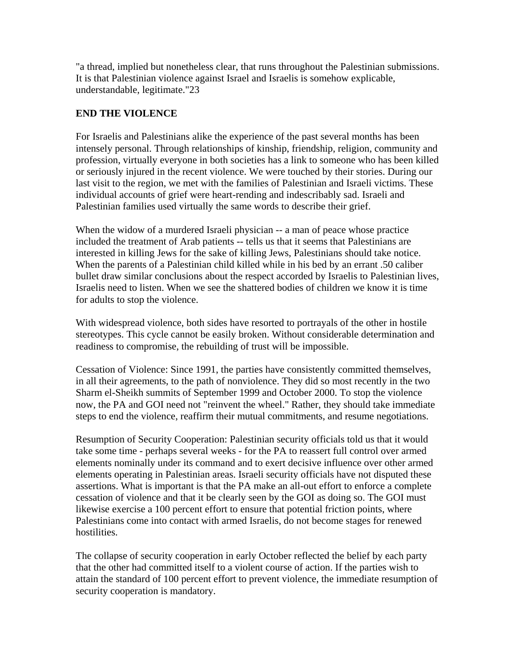"a thread, implied but nonetheless clear, that runs throughout the Palestinian submissions. It is that Palestinian violence against Israel and Israelis is somehow explicable, understandable, legitimate."23

# **END THE VIOLENCE**

For Israelis and Palestinians alike the experience of the past several months has been intensely personal. Through relationships of kinship, friendship, religion, community and profession, virtually everyone in both societies has a link to someone who has been killed or seriously injured in the recent violence. We were touched by their stories. During our last visit to the region, we met with the families of Palestinian and Israeli victims. These individual accounts of grief were heart-rending and indescribably sad. Israeli and Palestinian families used virtually the same words to describe their grief.

When the widow of a murdered Israeli physician -- a man of peace whose practice included the treatment of Arab patients -- tells us that it seems that Palestinians are interested in killing Jews for the sake of killing Jews, Palestinians should take notice. When the parents of a Palestinian child killed while in his bed by an errant .50 caliber bullet draw similar conclusions about the respect accorded by Israelis to Palestinian lives, Israelis need to listen. When we see the shattered bodies of children we know it is time for adults to stop the violence.

With widespread violence, both sides have resorted to portrayals of the other in hostile stereotypes. This cycle cannot be easily broken. Without considerable determination and readiness to compromise, the rebuilding of trust will be impossible.

Cessation of Violence: Since 1991, the parties have consistently committed themselves, in all their agreements, to the path of nonviolence. They did so most recently in the two Sharm el-Sheikh summits of September 1999 and October 2000. To stop the violence now, the PA and GOI need not "reinvent the wheel." Rather, they should take immediate steps to end the violence, reaffirm their mutual commitments, and resume negotiations.

Resumption of Security Cooperation: Palestinian security officials told us that it would take some time - perhaps several weeks - for the PA to reassert full control over armed elements nominally under its command and to exert decisive influence over other armed elements operating in Palestinian areas. Israeli security officials have not disputed these assertions. What is important is that the PA make an all-out effort to enforce a complete cessation of violence and that it be clearly seen by the GOI as doing so. The GOI must likewise exercise a 100 percent effort to ensure that potential friction points, where Palestinians come into contact with armed Israelis, do not become stages for renewed hostilities.

The collapse of security cooperation in early October reflected the belief by each party that the other had committed itself to a violent course of action. If the parties wish to attain the standard of 100 percent effort to prevent violence, the immediate resumption of security cooperation is mandatory.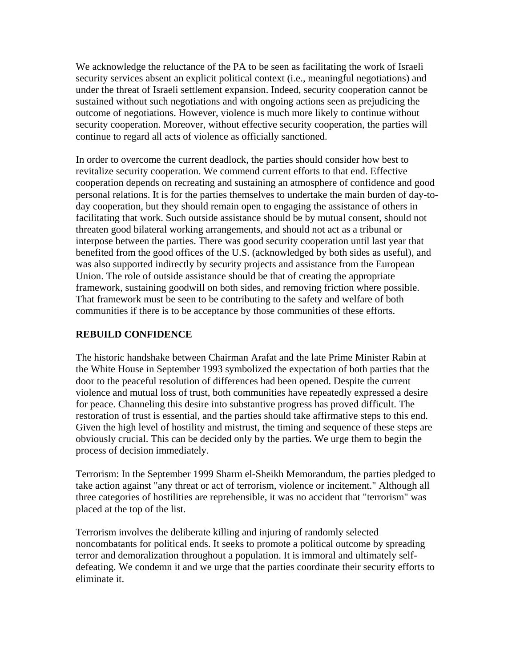We acknowledge the reluctance of the PA to be seen as facilitating the work of Israeli security services absent an explicit political context (i.e., meaningful negotiations) and under the threat of Israeli settlement expansion. Indeed, security cooperation cannot be sustained without such negotiations and with ongoing actions seen as prejudicing the outcome of negotiations. However, violence is much more likely to continue without security cooperation. Moreover, without effective security cooperation, the parties will continue to regard all acts of violence as officially sanctioned.

In order to overcome the current deadlock, the parties should consider how best to revitalize security cooperation. We commend current efforts to that end. Effective cooperation depends on recreating and sustaining an atmosphere of confidence and good personal relations. It is for the parties themselves to undertake the main burden of day-today cooperation, but they should remain open to engaging the assistance of others in facilitating that work. Such outside assistance should be by mutual consent, should not threaten good bilateral working arrangements, and should not act as a tribunal or interpose between the parties. There was good security cooperation until last year that benefited from the good offices of the U.S. (acknowledged by both sides as useful), and was also supported indirectly by security projects and assistance from the European Union. The role of outside assistance should be that of creating the appropriate framework, sustaining goodwill on both sides, and removing friction where possible. That framework must be seen to be contributing to the safety and welfare of both communities if there is to be acceptance by those communities of these efforts.

### **REBUILD CONFIDENCE**

The historic handshake between Chairman Arafat and the late Prime Minister Rabin at the White House in September 1993 symbolized the expectation of both parties that the door to the peaceful resolution of differences had been opened. Despite the current violence and mutual loss of trust, both communities have repeatedly expressed a desire for peace. Channeling this desire into substantive progress has proved difficult. The restoration of trust is essential, and the parties should take affirmative steps to this end. Given the high level of hostility and mistrust, the timing and sequence of these steps are obviously crucial. This can be decided only by the parties. We urge them to begin the process of decision immediately.

Terrorism: In the September 1999 Sharm el-Sheikh Memorandum, the parties pledged to take action against "any threat or act of terrorism, violence or incitement." Although all three categories of hostilities are reprehensible, it was no accident that "terrorism" was placed at the top of the list.

Terrorism involves the deliberate killing and injuring of randomly selected noncombatants for political ends. It seeks to promote a political outcome by spreading terror and demoralization throughout a population. It is immoral and ultimately selfdefeating. We condemn it and we urge that the parties coordinate their security efforts to eliminate it.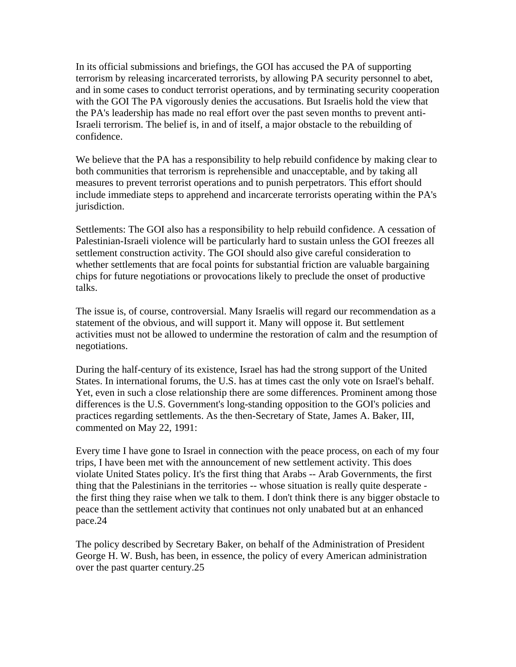In its official submissions and briefings, the GOI has accused the PA of supporting terrorism by releasing incarcerated terrorists, by allowing PA security personnel to abet, and in some cases to conduct terrorist operations, and by terminating security cooperation with the GOI The PA vigorously denies the accusations. But Israelis hold the view that the PA's leadership has made no real effort over the past seven months to prevent anti-Israeli terrorism. The belief is, in and of itself, a major obstacle to the rebuilding of confidence.

We believe that the PA has a responsibility to help rebuild confidence by making clear to both communities that terrorism is reprehensible and unacceptable, and by taking all measures to prevent terrorist operations and to punish perpetrators. This effort should include immediate steps to apprehend and incarcerate terrorists operating within the PA's jurisdiction.

Settlements: The GOI also has a responsibility to help rebuild confidence. A cessation of Palestinian-Israeli violence will be particularly hard to sustain unless the GOI freezes all settlement construction activity. The GOI should also give careful consideration to whether settlements that are focal points for substantial friction are valuable bargaining chips for future negotiations or provocations likely to preclude the onset of productive talks.

The issue is, of course, controversial. Many Israelis will regard our recommendation as a statement of the obvious, and will support it. Many will oppose it. But settlement activities must not be allowed to undermine the restoration of calm and the resumption of negotiations.

During the half-century of its existence, Israel has had the strong support of the United States. In international forums, the U.S. has at times cast the only vote on Israel's behalf. Yet, even in such a close relationship there are some differences. Prominent among those differences is the U.S. Government's long-standing opposition to the GOI's policies and practices regarding settlements. As the then-Secretary of State, James A. Baker, III, commented on May 22, 1991:

Every time I have gone to Israel in connection with the peace process, on each of my four trips, I have been met with the announcement of new settlement activity. This does violate United States policy. It's the first thing that Arabs -- Arab Governments, the first thing that the Palestinians in the territories -- whose situation is really quite desperate the first thing they raise when we talk to them. I don't think there is any bigger obstacle to peace than the settlement activity that continues not only unabated but at an enhanced pace.24

The policy described by Secretary Baker, on behalf of the Administration of President George H. W. Bush, has been, in essence, the policy of every American administration over the past quarter century.25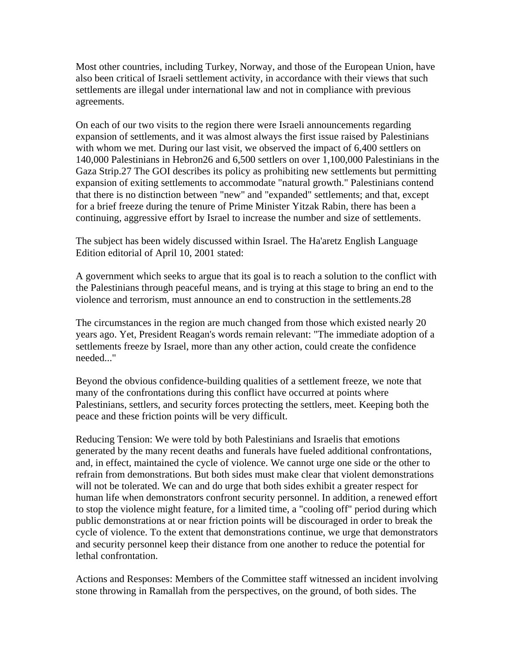Most other countries, including Turkey, Norway, and those of the European Union, have also been critical of Israeli settlement activity, in accordance with their views that such settlements are illegal under international law and not in compliance with previous agreements.

On each of our two visits to the region there were Israeli announcements regarding expansion of settlements, and it was almost always the first issue raised by Palestinians with whom we met. During our last visit, we observed the impact of 6,400 settlers on 140,000 Palestinians in Hebron26 and 6,500 settlers on over 1,100,000 Palestinians in the Gaza Strip.27 The GOI describes its policy as prohibiting new settlements but permitting expansion of exiting settlements to accommodate "natural growth." Palestinians contend that there is no distinction between "new" and "expanded" settlements; and that, except for a brief freeze during the tenure of Prime Minister Yitzak Rabin, there has been a continuing, aggressive effort by Israel to increase the number and size of settlements.

The subject has been widely discussed within Israel. The Ha'aretz English Language Edition editorial of April 10, 2001 stated:

A government which seeks to argue that its goal is to reach a solution to the conflict with the Palestinians through peaceful means, and is trying at this stage to bring an end to the violence and terrorism, must announce an end to construction in the settlements.28

The circumstances in the region are much changed from those which existed nearly 20 years ago. Yet, President Reagan's words remain relevant: "The immediate adoption of a settlements freeze by Israel, more than any other action, could create the confidence needed..."

Beyond the obvious confidence-building qualities of a settlement freeze, we note that many of the confrontations during this conflict have occurred at points where Palestinians, settlers, and security forces protecting the settlers, meet. Keeping both the peace and these friction points will be very difficult.

Reducing Tension: We were told by both Palestinians and Israelis that emotions generated by the many recent deaths and funerals have fueled additional confrontations, and, in effect, maintained the cycle of violence. We cannot urge one side or the other to refrain from demonstrations. But both sides must make clear that violent demonstrations will not be tolerated. We can and do urge that both sides exhibit a greater respect for human life when demonstrators confront security personnel. In addition, a renewed effort to stop the violence might feature, for a limited time, a "cooling off" period during which public demonstrations at or near friction points will be discouraged in order to break the cycle of violence. To the extent that demonstrations continue, we urge that demonstrators and security personnel keep their distance from one another to reduce the potential for lethal confrontation.

Actions and Responses: Members of the Committee staff witnessed an incident involving stone throwing in Ramallah from the perspectives, on the ground, of both sides. The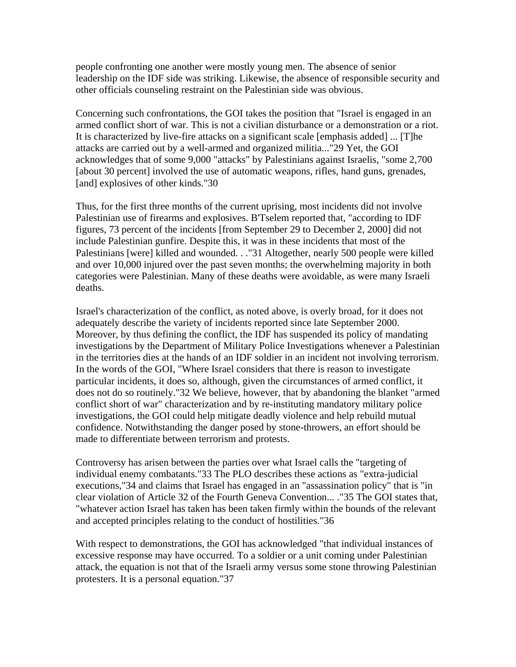people confronting one another were mostly young men. The absence of senior leadership on the IDF side was striking. Likewise, the absence of responsible security and other officials counseling restraint on the Palestinian side was obvious.

Concerning such confrontations, the GOI takes the position that "Israel is engaged in an armed conflict short of war. This is not a civilian disturbance or a demonstration or a riot. It is characterized by live-fire attacks on a significant scale [emphasis added] ... [T]he attacks are carried out by a well-armed and organized militia..."29 Yet, the GOI acknowledges that of some 9,000 "attacks" by Palestinians against Israelis, "some 2,700 [about 30 percent] involved the use of automatic weapons, rifles, hand guns, grenades, [and] explosives of other kinds."30

Thus, for the first three months of the current uprising, most incidents did not involve Palestinian use of firearms and explosives. B'Tselem reported that, "according to IDF figures, 73 percent of the incidents [from September 29 to December 2, 2000] did not include Palestinian gunfire. Despite this, it was in these incidents that most of the Palestinians [were] killed and wounded. . ."31 Altogether, nearly 500 people were killed and over 10,000 injured over the past seven months; the overwhelming majority in both categories were Palestinian. Many of these deaths were avoidable, as were many Israeli deaths.

Israel's characterization of the conflict, as noted above, is overly broad, for it does not adequately describe the variety of incidents reported since late September 2000. Moreover, by thus defining the conflict, the IDF has suspended its policy of mandating investigations by the Department of Military Police Investigations whenever a Palestinian in the territories dies at the hands of an IDF soldier in an incident not involving terrorism. In the words of the GOI, "Where Israel considers that there is reason to investigate particular incidents, it does so, although, given the circumstances of armed conflict, it does not do so routinely."32 We believe, however, that by abandoning the blanket "armed conflict short of war" characterization and by re-instituting mandatory military police investigations, the GOI could help mitigate deadly violence and help rebuild mutual confidence. Notwithstanding the danger posed by stone-throwers, an effort should be made to differentiate between terrorism and protests.

Controversy has arisen between the parties over what Israel calls the "targeting of individual enemy combatants."33 The PLO describes these actions as "extra-judicial executions,"34 and claims that Israel has engaged in an "assassination policy" that is "in clear violation of Article 32 of the Fourth Geneva Convention... ."35 The GOI states that, "whatever action Israel has taken has been taken firmly within the bounds of the relevant and accepted principles relating to the conduct of hostilities."36

With respect to demonstrations, the GOI has acknowledged "that individual instances of excessive response may have occurred. To a soldier or a unit coming under Palestinian attack, the equation is not that of the Israeli army versus some stone throwing Palestinian protesters. It is a personal equation."37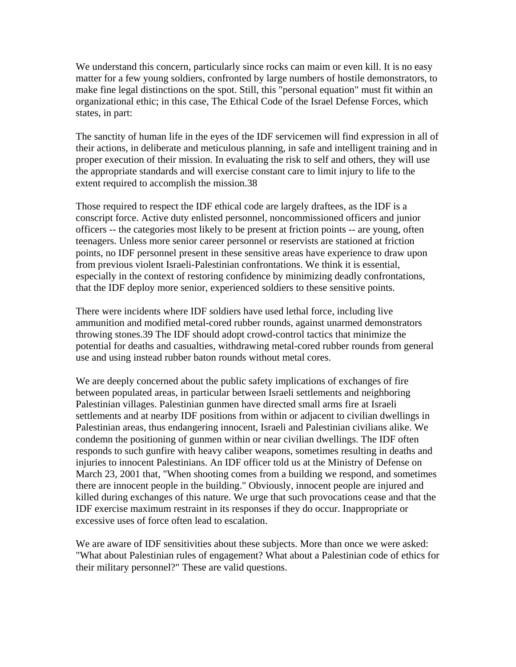We understand this concern, particularly since rocks can maim or even kill. It is no easy matter for a few young soldiers, confronted by large numbers of hostile demonstrators, to make fine legal distinctions on the spot. Still, this "personal equation" must fit within an organizational ethic; in this case, The Ethical Code of the Israel Defense Forces, which states, in part:

The sanctity of human life in the eyes of the IDF servicemen will find expression in all of their actions, in deliberate and meticulous planning, in safe and intelligent training and in proper execution of their mission. In evaluating the risk to self and others, they will use the appropriate standards and will exercise constant care to limit injury to life to the extent required to accomplish the mission.38

Those required to respect the IDF ethical code are largely draftees, as the IDF is a conscript force. Active duty enlisted personnel, noncommissioned officers and junior officers -- the categories most likely to be present at friction points -- are young, often teenagers. Unless more senior career personnel or reservists are stationed at friction points, no IDF personnel present in these sensitive areas have experience to draw upon from previous violent Israeli-Palestinian confrontations. We think it is essential, especially in the context of restoring confidence by minimizing deadly confrontations, that the IDF deploy more senior, experienced soldiers to these sensitive points.

There were incidents where IDF soldiers have used lethal force, including live ammunition and modified metal-cored rubber rounds, against unarmed demonstrators throwing stones.39 The IDF should adopt crowd-control tactics that minimize the potential for deaths and casualties, withdrawing metal-cored rubber rounds from general use and using instead rubber baton rounds without metal cores.

We are deeply concerned about the public safety implications of exchanges of fire between populated areas, in particular between Israeli settlements and neighboring Palestinian villages. Palestinian gunmen have directed small arms fire at Israeli settlements and at nearby IDF positions from within or adjacent to civilian dwellings in Palestinian areas, thus endangering innocent, Israeli and Palestinian civilians alike. We condemn the positioning of gunmen within or near civilian dwellings. The IDF often responds to such gunfire with heavy caliber weapons, sometimes resulting in deaths and injuries to innocent Palestinians. An IDF officer told us at the Ministry of Defense on March 23, 2001 that, "When shooting comes from a building we respond, and sometimes there are innocent people in the building." Obviously, innocent people are injured and killed during exchanges of this nature. We urge that such provocations cease and that the IDF exercise maximum restraint in its responses if they do occur. Inappropriate or excessive uses of force often lead to escalation.

We are aware of IDF sensitivities about these subjects. More than once we were asked: "What about Palestinian rules of engagement? What about a Palestinian code of ethics for their military personnel?" These are valid questions.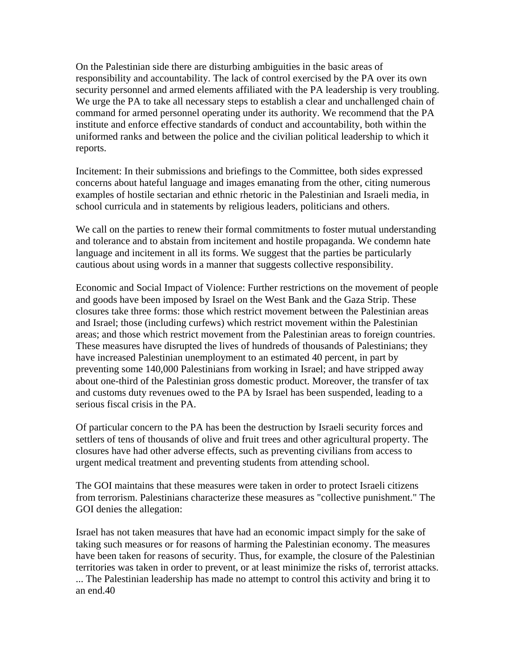On the Palestinian side there are disturbing ambiguities in the basic areas of responsibility and accountability. The lack of control exercised by the PA over its own security personnel and armed elements affiliated with the PA leadership is very troubling. We urge the PA to take all necessary steps to establish a clear and unchallenged chain of command for armed personnel operating under its authority. We recommend that the PA institute and enforce effective standards of conduct and accountability, both within the uniformed ranks and between the police and the civilian political leadership to which it reports.

Incitement: In their submissions and briefings to the Committee, both sides expressed concerns about hateful language and images emanating from the other, citing numerous examples of hostile sectarian and ethnic rhetoric in the Palestinian and Israeli media, in school curricula and in statements by religious leaders, politicians and others.

We call on the parties to renew their formal commitments to foster mutual understanding and tolerance and to abstain from incitement and hostile propaganda. We condemn hate language and incitement in all its forms. We suggest that the parties be particularly cautious about using words in a manner that suggests collective responsibility.

Economic and Social Impact of Violence: Further restrictions on the movement of people and goods have been imposed by Israel on the West Bank and the Gaza Strip. These closures take three forms: those which restrict movement between the Palestinian areas and Israel; those (including curfews) which restrict movement within the Palestinian areas; and those which restrict movement from the Palestinian areas to foreign countries. These measures have disrupted the lives of hundreds of thousands of Palestinians; they have increased Palestinian unemployment to an estimated 40 percent, in part by preventing some 140,000 Palestinians from working in Israel; and have stripped away about one-third of the Palestinian gross domestic product. Moreover, the transfer of tax and customs duty revenues owed to the PA by Israel has been suspended, leading to a serious fiscal crisis in the PA.

Of particular concern to the PA has been the destruction by Israeli security forces and settlers of tens of thousands of olive and fruit trees and other agricultural property. The closures have had other adverse effects, such as preventing civilians from access to urgent medical treatment and preventing students from attending school.

The GOI maintains that these measures were taken in order to protect Israeli citizens from terrorism. Palestinians characterize these measures as "collective punishment." The GOI denies the allegation:

Israel has not taken measures that have had an economic impact simply for the sake of taking such measures or for reasons of harming the Palestinian economy. The measures have been taken for reasons of security. Thus, for example, the closure of the Palestinian territories was taken in order to prevent, or at least minimize the risks of, terrorist attacks. ... The Palestinian leadership has made no attempt to control this activity and bring it to an end.40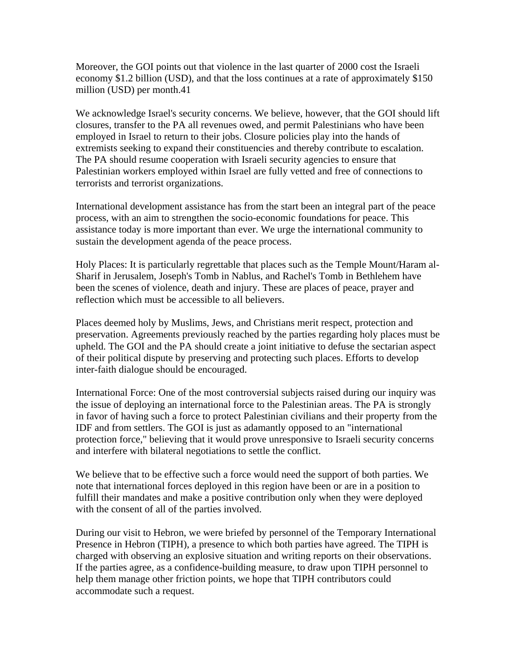Moreover, the GOI points out that violence in the last quarter of 2000 cost the Israeli economy \$1.2 billion (USD), and that the loss continues at a rate of approximately \$150 million (USD) per month.41

We acknowledge Israel's security concerns. We believe, however, that the GOI should lift closures, transfer to the PA all revenues owed, and permit Palestinians who have been employed in Israel to return to their jobs. Closure policies play into the hands of extremists seeking to expand their constituencies and thereby contribute to escalation. The PA should resume cooperation with Israeli security agencies to ensure that Palestinian workers employed within Israel are fully vetted and free of connections to terrorists and terrorist organizations.

International development assistance has from the start been an integral part of the peace process, with an aim to strengthen the socio-economic foundations for peace. This assistance today is more important than ever. We urge the international community to sustain the development agenda of the peace process.

Holy Places: It is particularly regrettable that places such as the Temple Mount/Haram al-Sharif in Jerusalem, Joseph's Tomb in Nablus, and Rachel's Tomb in Bethlehem have been the scenes of violence, death and injury. These are places of peace, prayer and reflection which must be accessible to all believers.

Places deemed holy by Muslims, Jews, and Christians merit respect, protection and preservation. Agreements previously reached by the parties regarding holy places must be upheld. The GOI and the PA should create a joint initiative to defuse the sectarian aspect of their political dispute by preserving and protecting such places. Efforts to develop inter-faith dialogue should be encouraged.

International Force: One of the most controversial subjects raised during our inquiry was the issue of deploying an international force to the Palestinian areas. The PA is strongly in favor of having such a force to protect Palestinian civilians and their property from the IDF and from settlers. The GOI is just as adamantly opposed to an "international protection force," believing that it would prove unresponsive to Israeli security concerns and interfere with bilateral negotiations to settle the conflict.

We believe that to be effective such a force would need the support of both parties. We note that international forces deployed in this region have been or are in a position to fulfill their mandates and make a positive contribution only when they were deployed with the consent of all of the parties involved.

During our visit to Hebron, we were briefed by personnel of the Temporary International Presence in Hebron (TIPH), a presence to which both parties have agreed. The TIPH is charged with observing an explosive situation and writing reports on their observations. If the parties agree, as a confidence-building measure, to draw upon TIPH personnel to help them manage other friction points, we hope that TIPH contributors could accommodate such a request.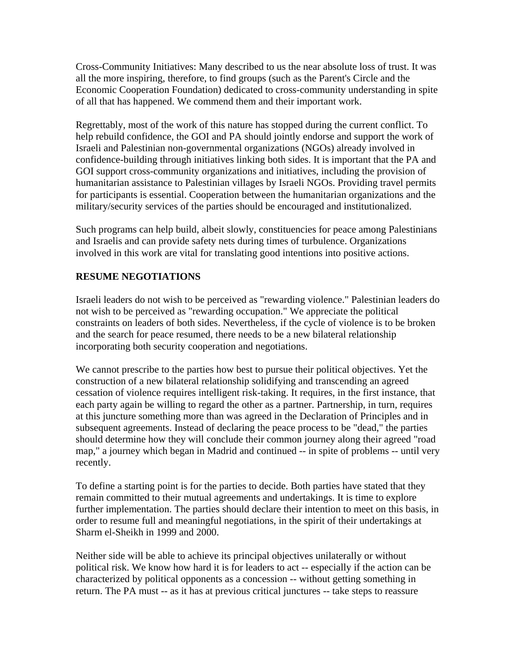Cross-Community Initiatives: Many described to us the near absolute loss of trust. It was all the more inspiring, therefore, to find groups (such as the Parent's Circle and the Economic Cooperation Foundation) dedicated to cross-community understanding in spite of all that has happened. We commend them and their important work.

Regrettably, most of the work of this nature has stopped during the current conflict. To help rebuild confidence, the GOI and PA should jointly endorse and support the work of Israeli and Palestinian non-governmental organizations (NGOs) already involved in confidence-building through initiatives linking both sides. It is important that the PA and GOI support cross-community organizations and initiatives, including the provision of humanitarian assistance to Palestinian villages by Israeli NGOs. Providing travel permits for participants is essential. Cooperation between the humanitarian organizations and the military/security services of the parties should be encouraged and institutionalized.

Such programs can help build, albeit slowly, constituencies for peace among Palestinians and Israelis and can provide safety nets during times of turbulence. Organizations involved in this work are vital for translating good intentions into positive actions.

# **RESUME NEGOTIATIONS**

Israeli leaders do not wish to be perceived as "rewarding violence." Palestinian leaders do not wish to be perceived as "rewarding occupation." We appreciate the political constraints on leaders of both sides. Nevertheless, if the cycle of violence is to be broken and the search for peace resumed, there needs to be a new bilateral relationship incorporating both security cooperation and negotiations.

We cannot prescribe to the parties how best to pursue their political objectives. Yet the construction of a new bilateral relationship solidifying and transcending an agreed cessation of violence requires intelligent risk-taking. It requires, in the first instance, that each party again be willing to regard the other as a partner. Partnership, in turn, requires at this juncture something more than was agreed in the Declaration of Principles and in subsequent agreements. Instead of declaring the peace process to be "dead," the parties should determine how they will conclude their common journey along their agreed "road map," a journey which began in Madrid and continued -- in spite of problems -- until very recently.

To define a starting point is for the parties to decide. Both parties have stated that they remain committed to their mutual agreements and undertakings. It is time to explore further implementation. The parties should declare their intention to meet on this basis, in order to resume full and meaningful negotiations, in the spirit of their undertakings at Sharm el-Sheikh in 1999 and 2000.

Neither side will be able to achieve its principal objectives unilaterally or without political risk. We know how hard it is for leaders to act -- especially if the action can be characterized by political opponents as a concession -- without getting something in return. The PA must -- as it has at previous critical junctures -- take steps to reassure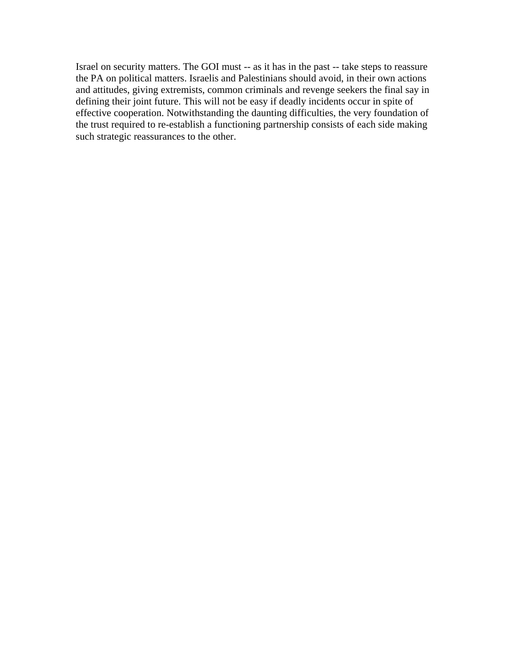Israel on security matters. The GOI must -- as it has in the past -- take steps to reassure the PA on political matters. Israelis and Palestinians should avoid, in their own actions and attitudes, giving extremists, common criminals and revenge seekers the final say in defining their joint future. This will not be easy if deadly incidents occur in spite of effective cooperation. Notwithstanding the daunting difficulties, the very foundation of the trust required to re-establish a functioning partnership consists of each side making such strategic reassurances to the other.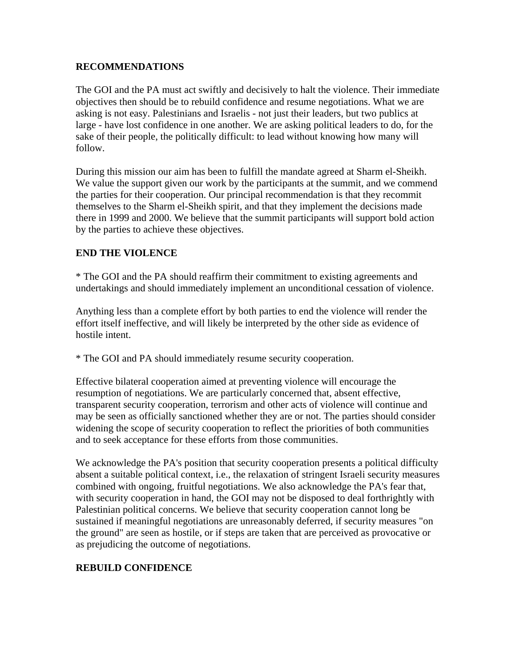# **RECOMMENDATIONS**

The GOI and the PA must act swiftly and decisively to halt the violence. Their immediate objectives then should be to rebuild confidence and resume negotiations. What we are asking is not easy. Palestinians and Israelis - not just their leaders, but two publics at large - have lost confidence in one another. We are asking political leaders to do, for the sake of their people, the politically difficult: to lead without knowing how many will follow.

During this mission our aim has been to fulfill the mandate agreed at Sharm el-Sheikh. We value the support given our work by the participants at the summit, and we commend the parties for their cooperation. Our principal recommendation is that they recommit themselves to the Sharm el-Sheikh spirit, and that they implement the decisions made there in 1999 and 2000. We believe that the summit participants will support bold action by the parties to achieve these objectives.

## **END THE VIOLENCE**

\* The GOI and the PA should reaffirm their commitment to existing agreements and undertakings and should immediately implement an unconditional cessation of violence.

Anything less than a complete effort by both parties to end the violence will render the effort itself ineffective, and will likely be interpreted by the other side as evidence of hostile intent.

\* The GOI and PA should immediately resume security cooperation.

Effective bilateral cooperation aimed at preventing violence will encourage the resumption of negotiations. We are particularly concerned that, absent effective, transparent security cooperation, terrorism and other acts of violence will continue and may be seen as officially sanctioned whether they are or not. The parties should consider widening the scope of security cooperation to reflect the priorities of both communities and to seek acceptance for these efforts from those communities.

We acknowledge the PA's position that security cooperation presents a political difficulty absent a suitable political context, i.e., the relaxation of stringent Israeli security measures combined with ongoing, fruitful negotiations. We also acknowledge the PA's fear that, with security cooperation in hand, the GOI may not be disposed to deal forthrightly with Palestinian political concerns. We believe that security cooperation cannot long be sustained if meaningful negotiations are unreasonably deferred, if security measures "on the ground" are seen as hostile, or if steps are taken that are perceived as provocative or as prejudicing the outcome of negotiations.

# **REBUILD CONFIDENCE**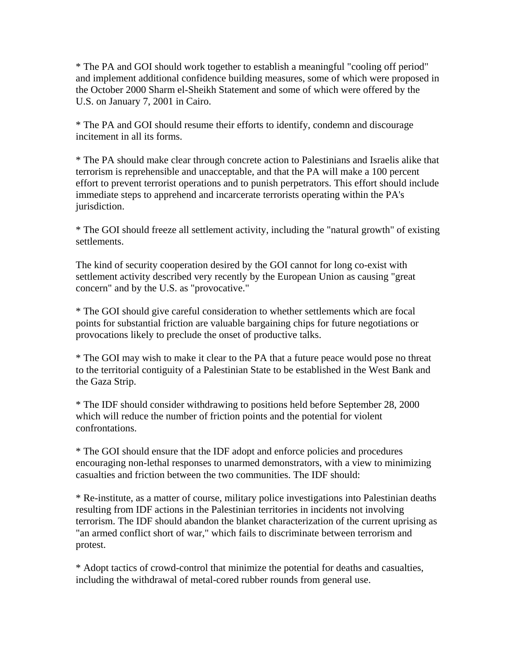\* The PA and GOI should work together to establish a meaningful "cooling off period" and implement additional confidence building measures, some of which were proposed in the October 2000 Sharm el-Sheikh Statement and some of which were offered by the U.S. on January 7, 2001 in Cairo.

\* The PA and GOI should resume their efforts to identify, condemn and discourage incitement in all its forms.

\* The PA should make clear through concrete action to Palestinians and Israelis alike that terrorism is reprehensible and unacceptable, and that the PA will make a 100 percent effort to prevent terrorist operations and to punish perpetrators. This effort should include immediate steps to apprehend and incarcerate terrorists operating within the PA's jurisdiction.

\* The GOI should freeze all settlement activity, including the "natural growth" of existing settlements.

The kind of security cooperation desired by the GOI cannot for long co-exist with settlement activity described very recently by the European Union as causing "great concern" and by the U.S. as "provocative."

\* The GOI should give careful consideration to whether settlements which are focal points for substantial friction are valuable bargaining chips for future negotiations or provocations likely to preclude the onset of productive talks.

\* The GOI may wish to make it clear to the PA that a future peace would pose no threat to the territorial contiguity of a Palestinian State to be established in the West Bank and the Gaza Strip.

\* The IDF should consider withdrawing to positions held before September 28, 2000 which will reduce the number of friction points and the potential for violent confrontations.

\* The GOI should ensure that the IDF adopt and enforce policies and procedures encouraging non-lethal responses to unarmed demonstrators, with a view to minimizing casualties and friction between the two communities. The IDF should:

\* Re-institute, as a matter of course, military police investigations into Palestinian deaths resulting from IDF actions in the Palestinian territories in incidents not involving terrorism. The IDF should abandon the blanket characterization of the current uprising as "an armed conflict short of war," which fails to discriminate between terrorism and protest.

\* Adopt tactics of crowd-control that minimize the potential for deaths and casualties, including the withdrawal of metal-cored rubber rounds from general use.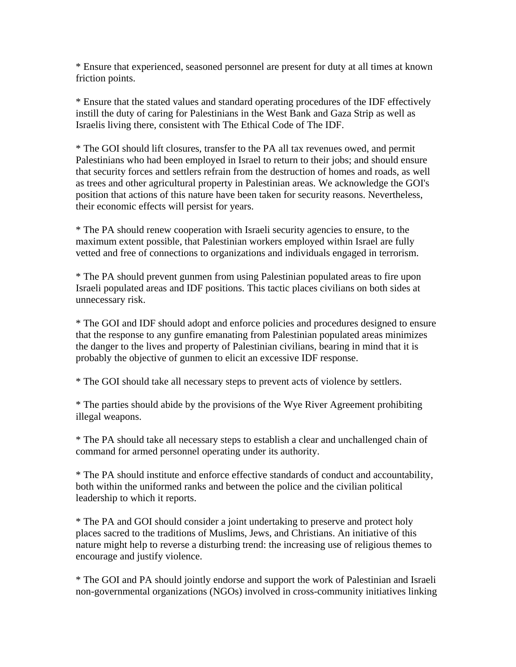\* Ensure that experienced, seasoned personnel are present for duty at all times at known friction points.

\* Ensure that the stated values and standard operating procedures of the IDF effectively instill the duty of caring for Palestinians in the West Bank and Gaza Strip as well as Israelis living there, consistent with The Ethical Code of The IDF.

\* The GOI should lift closures, transfer to the PA all tax revenues owed, and permit Palestinians who had been employed in Israel to return to their jobs; and should ensure that security forces and settlers refrain from the destruction of homes and roads, as well as trees and other agricultural property in Palestinian areas. We acknowledge the GOI's position that actions of this nature have been taken for security reasons. Nevertheless, their economic effects will persist for years.

\* The PA should renew cooperation with Israeli security agencies to ensure, to the maximum extent possible, that Palestinian workers employed within Israel are fully vetted and free of connections to organizations and individuals engaged in terrorism.

\* The PA should prevent gunmen from using Palestinian populated areas to fire upon Israeli populated areas and IDF positions. This tactic places civilians on both sides at unnecessary risk.

\* The GOI and IDF should adopt and enforce policies and procedures designed to ensure that the response to any gunfire emanating from Palestinian populated areas minimizes the danger to the lives and property of Palestinian civilians, bearing in mind that it is probably the objective of gunmen to elicit an excessive IDF response.

\* The GOI should take all necessary steps to prevent acts of violence by settlers.

\* The parties should abide by the provisions of the Wye River Agreement prohibiting illegal weapons.

\* The PA should take all necessary steps to establish a clear and unchallenged chain of command for armed personnel operating under its authority.

\* The PA should institute and enforce effective standards of conduct and accountability, both within the uniformed ranks and between the police and the civilian political leadership to which it reports.

\* The PA and GOI should consider a joint undertaking to preserve and protect holy places sacred to the traditions of Muslims, Jews, and Christians. An initiative of this nature might help to reverse a disturbing trend: the increasing use of religious themes to encourage and justify violence.

\* The GOI and PA should jointly endorse and support the work of Palestinian and Israeli non-governmental organizations (NGOs) involved in cross-community initiatives linking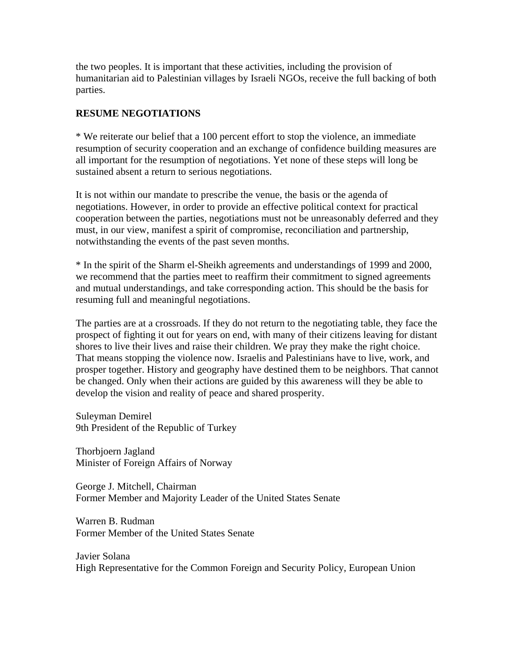the two peoples. It is important that these activities, including the provision of humanitarian aid to Palestinian villages by Israeli NGOs, receive the full backing of both parties.

# **RESUME NEGOTIATIONS**

\* We reiterate our belief that a 100 percent effort to stop the violence, an immediate resumption of security cooperation and an exchange of confidence building measures are all important for the resumption of negotiations. Yet none of these steps will long be sustained absent a return to serious negotiations.

It is not within our mandate to prescribe the venue, the basis or the agenda of negotiations. However, in order to provide an effective political context for practical cooperation between the parties, negotiations must not be unreasonably deferred and they must, in our view, manifest a spirit of compromise, reconciliation and partnership, notwithstanding the events of the past seven months.

\* In the spirit of the Sharm el-Sheikh agreements and understandings of 1999 and 2000, we recommend that the parties meet to reaffirm their commitment to signed agreements and mutual understandings, and take corresponding action. This should be the basis for resuming full and meaningful negotiations.

The parties are at a crossroads. If they do not return to the negotiating table, they face the prospect of fighting it out for years on end, with many of their citizens leaving for distant shores to live their lives and raise their children. We pray they make the right choice. That means stopping the violence now. Israelis and Palestinians have to live, work, and prosper together. History and geography have destined them to be neighbors. That cannot be changed. Only when their actions are guided by this awareness will they be able to develop the vision and reality of peace and shared prosperity.

Suleyman Demirel 9th President of the Republic of Turkey

Thorbjoern Jagland Minister of Foreign Affairs of Norway

George J. Mitchell, Chairman Former Member and Majority Leader of the United States Senate

Warren B. Rudman Former Member of the United States Senate

Javier Solana High Representative for the Common Foreign and Security Policy, European Union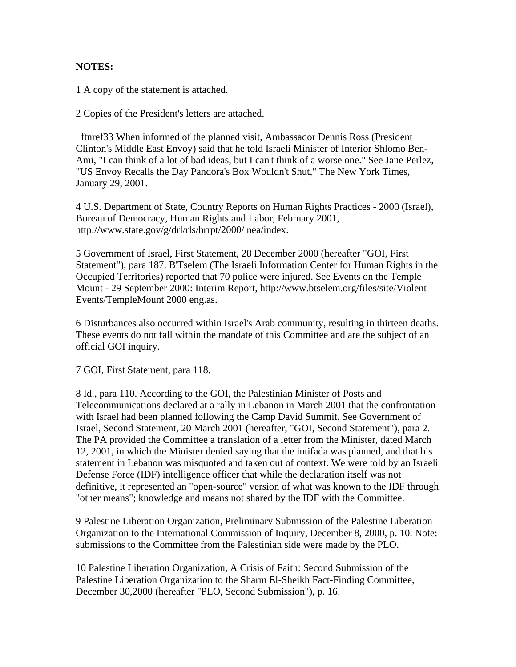## **NOTES:**

1 A copy of the statement is attached.

2 Copies of the President's letters are attached.

\_ftnref33 When informed of the planned visit, Ambassador Dennis Ross (President Clinton's Middle East Envoy) said that he told Israeli Minister of Interior Shlomo Ben-Ami, "I can think of a lot of bad ideas, but I can't think of a worse one." See Jane Perlez, "US Envoy Recalls the Day Pandora's Box Wouldn't Shut," The New York Times, January 29, 2001.

4 U.S. Department of State, Country Reports on Human Rights Practices - 2000 (Israel), Bureau of Democracy, Human Rights and Labor, February 2001, http://www.state.gov/g/drl/rls/hrrpt/2000/ nea/index.

5 Government of Israel, First Statement, 28 December 2000 (hereafter "GOI, First Statement"), para 187. B'Tselem (The Israeli Information Center for Human Rights in the Occupied Territories) reported that 70 police were injured. See Events on the Temple Mount - 29 September 2000: Interim Report, http://www.btselem.org/files/site/Violent Events/TempleMount 2000 eng.as.

6 Disturbances also occurred within Israel's Arab community, resulting in thirteen deaths. These events do not fall within the mandate of this Committee and are the subject of an official GOI inquiry.

7 GOI, First Statement, para 118.

8 Id., para 110. According to the GOI, the Palestinian Minister of Posts and Telecommunications declared at a rally in Lebanon in March 2001 that the confrontation with Israel had been planned following the Camp David Summit. See Government of Israel, Second Statement, 20 March 2001 (hereafter, "GOI, Second Statement"), para 2. The PA provided the Committee a translation of a letter from the Minister, dated March 12, 2001, in which the Minister denied saying that the intifada was planned, and that his statement in Lebanon was misquoted and taken out of context. We were told by an Israeli Defense Force (IDF) intelligence officer that while the declaration itself was not definitive, it represented an "open-source" version of what was known to the IDF through "other means"; knowledge and means not shared by the IDF with the Committee.

9 Palestine Liberation Organization, Preliminary Submission of the Palestine Liberation Organization to the International Commission of Inquiry, December 8, 2000, p. 10. Note: submissions to the Committee from the Palestinian side were made by the PLO.

10 Palestine Liberation Organization, A Crisis of Faith: Second Submission of the Palestine Liberation Organization to the Sharm El-Sheikh Fact-Finding Committee, December 30,2000 (hereafter "PLO, Second Submission"), p. 16.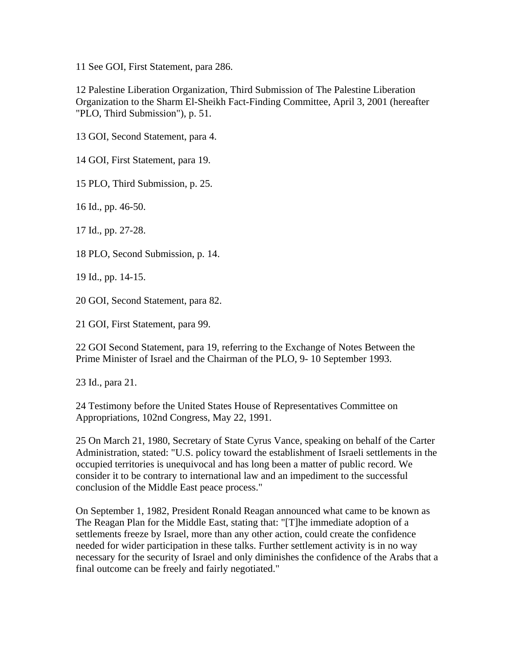11 See GOI, First Statement, para 286.

12 Palestine Liberation Organization, Third Submission of The Palestine Liberation Organization to the Sharm El-Sheikh Fact-Finding Committee, April 3, 2001 (hereafter "PLO, Third Submission"), p. 51.

13 GOI, Second Statement, para 4.

14 GOI, First Statement, para 19.

15 PLO, Third Submission, p. 25.

16 Id., pp. 46-50.

17 Id., pp. 27-28.

18 PLO, Second Submission, p. 14.

19 Id., pp. 14-15.

20 GOI, Second Statement, para 82.

21 GOI, First Statement, para 99.

22 GOI Second Statement, para 19, referring to the Exchange of Notes Between the Prime Minister of Israel and the Chairman of the PLO, 9- 10 September 1993.

23 Id., para 21.

24 Testimony before the United States House of Representatives Committee on Appropriations, 102nd Congress, May 22, 1991.

25 On March 21, 1980, Secretary of State Cyrus Vance, speaking on behalf of the Carter Administration, stated: "U.S. policy toward the establishment of Israeli settlements in the occupied territories is unequivocal and has long been a matter of public record. We consider it to be contrary to international law and an impediment to the successful conclusion of the Middle East peace process."

On September 1, 1982, President Ronald Reagan announced what came to be known as The Reagan Plan for the Middle East, stating that: "[T]he immediate adoption of a settlements freeze by Israel, more than any other action, could create the confidence needed for wider participation in these talks. Further settlement activity is in no way necessary for the security of Israel and only diminishes the confidence of the Arabs that a final outcome can be freely and fairly negotiated."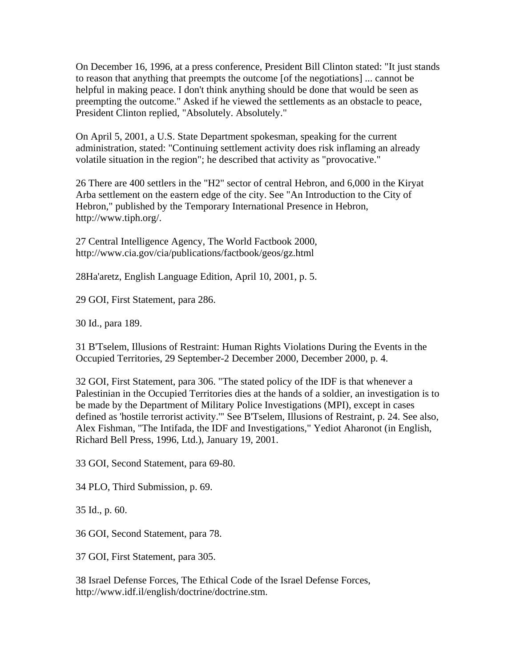On December 16, 1996, at a press conference, President Bill Clinton stated: "It just stands to reason that anything that preempts the outcome [of the negotiations] ... cannot be helpful in making peace. I don't think anything should be done that would be seen as preempting the outcome." Asked if he viewed the settlements as an obstacle to peace, President Clinton replied, "Absolutely. Absolutely."

On April 5, 2001, a U.S. State Department spokesman, speaking for the current administration, stated: "Continuing settlement activity does risk inflaming an already volatile situation in the region"; he described that activity as "provocative."

26 There are 400 settlers in the "H2" sector of central Hebron, and 6,000 in the Kiryat Arba settlement on the eastern edge of the city. See "An Introduction to the City of Hebron," published by the Temporary International Presence in Hebron, http://www.tiph.org/.

27 Central Intelligence Agency, The World Factbook 2000, http://www.cia.gov/cia/publications/factbook/geos/gz.html

28Ha'aretz, English Language Edition, April 10, 2001, p. 5.

29 GOI, First Statement, para 286.

30 Id., para 189.

31 B'Tselem, Illusions of Restraint: Human Rights Violations During the Events in the Occupied Territories, 29 September-2 December 2000, December 2000, p. 4.

32 GOI, First Statement, para 306. "The stated policy of the IDF is that whenever a Palestinian in the Occupied Territories dies at the hands of a soldier, an investigation is to be made by the Department of Military Police Investigations (MPI), except in cases defined as 'hostile terrorist activity.'" See B'Tselem, Illusions of Restraint, p. 24. See also, Alex Fishman, "The Intifada, the IDF and Investigations," Yediot Aharonot (in English, Richard Bell Press, 1996, Ltd.), January 19, 2001.

33 GOI, Second Statement, para 69-80.

34 PLO, Third Submission, p. 69.

35 Id., p. 60.

36 GOI, Second Statement, para 78.

37 GOI, First Statement, para 305.

38 Israel Defense Forces, The Ethical Code of the Israel Defense Forces, http://www.idf.il/english/doctrine/doctrine.stm.